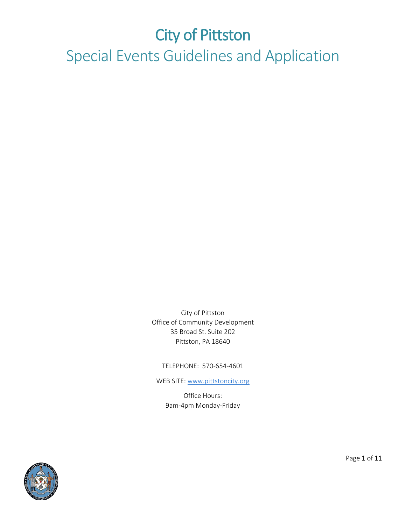# City of Pittston Special Events Guidelines and Application

City of Pittston Office of Community Development 35 Broad St. Suite 202 Pittston, PA 18640

TELEPHONE: 570-654-4601

WEB SITE: [www.pittstoncity.org](http://www.pittstoncity.org/)

Office Hours: 9am-4pm Monday-Friday



Page 1 of 11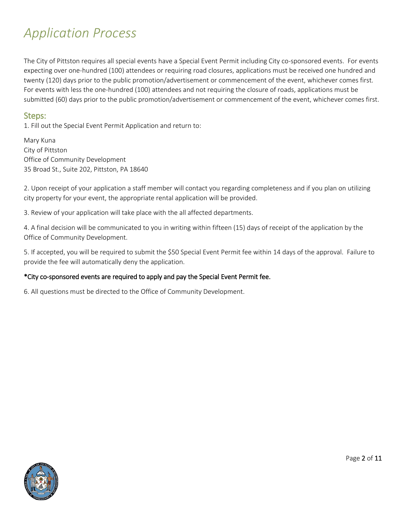# *Application Process*

The City of Pittston requires all special events have a Special Event Permit including City co-sponsored events. For events expecting over one-hundred (100) attendees or requiring road closures, applications must be received one hundred and twenty (120) days prior to the public promotion/advertisement or commencement of the event, whichever comes first. For events with less the one-hundred (100) attendees and not requiring the closure of roads, applications must be submitted (60) days prior to the public promotion/advertisement or commencement of the event, whichever comes first.

#### Steps:

1. Fill out the Special Event Permit Application and return to:

Mary Kuna City of Pittston Office of Community Development 35 Broad St., Suite 202, Pittston, PA 18640

2. Upon receipt of your application a staff member will contact you regarding completeness and if you plan on utilizing city property for your event, the appropriate rental application will be provided.

3. Review of your application will take place with the all affected departments.

4. A final decision will be communicated to you in writing within fifteen (15) days of receipt of the application by the Office of Community Development.

5. If accepted, you will be required to submit the \$50 Special Event Permit fee within 14 days of the approval. Failure to provide the fee will automatically deny the application.

#### \*City co-sponsored events are required to apply and pay the Special Event Permit fee.

6. All questions must be directed to the Office of Community Development.



Page 2 of 11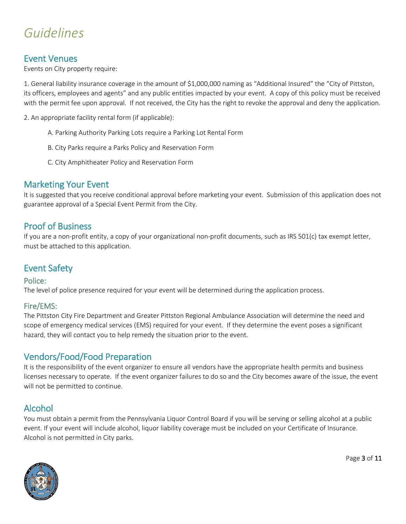# *Guidelines*

**Event Venues**<br>Events on City property require:

1. General liability insurance coverage in the amount of \$1,000,000 naming as "Additional Insured" the "City of Pittston, its officers, employees and agents" and any public entities impacted by your event. A copy of this policy must be received with the permit fee upon approval. If not received, the City has the right to revoke the approval and deny the application.

2. An appropriate facility rental form (if applicable):

- A. Parking Authority Parking Lots require a Parking Lot Rental Form
- B. City Parks require a Parks Policy and Reservation Form
- C. City Amphitheater Policy and Reservation Form

Marketing Your Event<br>It is suggested that you receive conditional approval before marketing your event. Submission of this application does not guarantee approval of a Special Event Permit from the City.

Proof of Business<br>If you are a non-profit entity, a copy of your organizational non-profit documents, such as IRS 501(c) tax exempt letter, must be attached to this application.

#### Event Safety

#### Police:

The level of police presence required for your event will be determined during the application process.

#### Fire/EMS:

The Pittston City Fire Department and Greater Pittston Regional Ambulance Association will determine the need and scope of emergency medical services (EMS) required for your event. If they determine the event poses a significant hazard, they will contact you to help remedy the situation prior to the event.

Vendors/Food/Food Preparation<br>It is the responsibility of the event organizer to ensure all vendors have the appropriate health permits and business licenses necessary to operate. If the event organizer failures to do so and the City becomes aware of the issue, the event will not be permitted to continue.

Alcohol<br>You must obtain a permit from the Pennsylvania Liquor Control Board if you will be serving or selling alcohol at a public event. If your event will include alcohol, liquor liability coverage must be included on your Certificate of Insurance. Alcohol is not permitted in City parks.



Page 3 of 11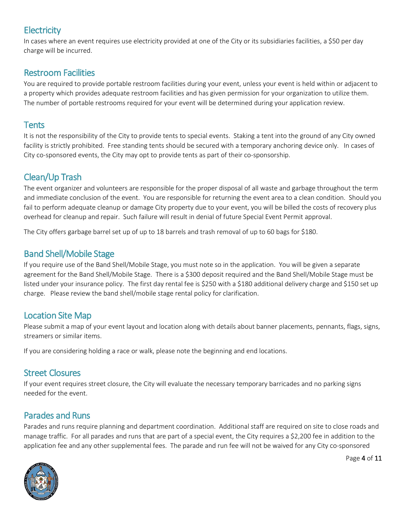# **Electricity**

In cases where an event requires use electricity provided at one of the City or its subsidiaries facilities, a \$50 per day charge will be incurred.

### Restroom Facilities

You are required to provide portable restroom facilities during your event, unless your event is held within or adjacent to a property which provides adequate restroom facilities and has given permission for your organization to utilize them. The number of portable restrooms required for your event will be determined during your application review.

### **Tents**

It is not the responsibility of the City to provide tents to special events. Staking a tent into the ground of any City owned facility is strictly prohibited. Free standing tents should be secured with a temporary anchoring device only. In cases of City co-sponsored events, the City may opt to provide tents as part of their co-sponsorship.

## Clean/Up Trash

The event organizer and volunteers are responsible for the proper disposal of all waste and garbage throughout the term and immediate conclusion of the event. You are responsible for returning the event area to a clean condition. Should you fail to perform adequate cleanup or damage City property due to your event, you will be billed the costs of recovery plus overhead for cleanup and repair. Such failure will result in denial of future Special Event Permit approval.

The City offers garbage barrel set up of up to 18 barrels and trash removal of up to 60 bags for \$180.

## Band Shell/Mobile Stage

If you require use of the Band Shell/Mobile Stage, you must note so in the application. You will be given a separate agreement for the Band Shell/Mobile Stage. There is a \$300 deposit required and the Band Shell/Mobile Stage must be listed under your insurance policy. The first day rental fee is \$250 with a \$180 additional delivery charge and \$150 set up charge. Please review the band shell/mobile stage rental policy for clarification.

## Location Site Map

Please submit a map of your event layout and location along with details about banner placements, pennants, flags, signs, streamers or similar items.

If you are considering holding a race or walk, please note the beginning and end locations.

### Street Closures

If your event requires street closure, the City will evaluate the necessary temporary barricades and no parking signs needed for the event.

## Parades and Runs

Parades and runs require planning and department coordination. Additional staff are required on site to close roads and manage traffic. For all parades and runs that are part of a special event, the City requires a \$2,200 fee in addition to the application fee and any other supplemental fees. The parade and run fee will not be waived for any City co-sponsored



Page 4 of 11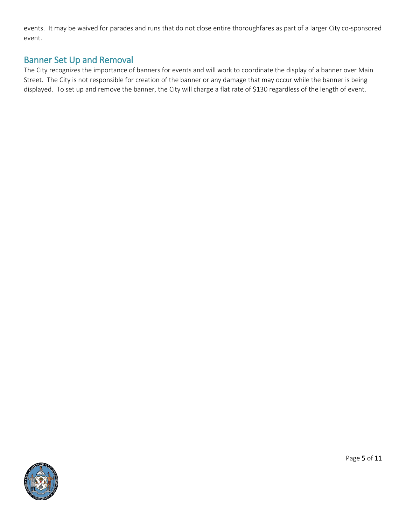events. It may be waived for parades and runs that do not close entire thoroughfares as part of a larger City co-sponsored event.

## Banner Set Up and Removal

The City recognizes the importance of banners for events and will work to coordinate the display of a banner over Main Street. The City is not responsible for creation of the banner or any damage that may occur while the banner is being displayed. To set up and remove the banner, the City will charge a flat rate of \$130 regardless of the length of event.



Page 5 of 11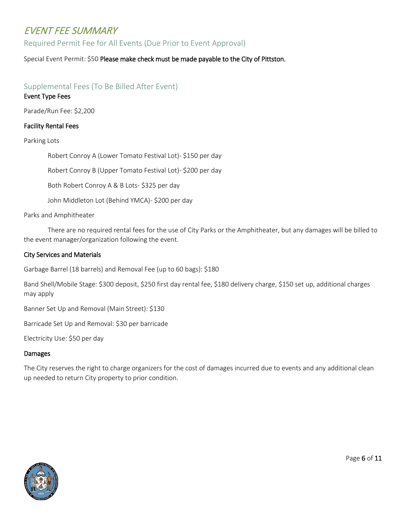# EVENT FEE SUMMARY

Required Permit Fee for All Events (Due Prior to Event Approval)

Special Event Permit: \$50 Please make check must be made payable to the City of Pittston.

#### Supplemental Fees (To Be Billed After Event)

#### Event Type Fees

Parade/Run Fee: \$2,200

#### Facility Rental Fees

#### Parking Lots

Robert Conroy A (Lower Tomato Festival Lot)- \$150 per day Robert Conroy B (Upper Tomato Festival Lot)- \$200 per day Both Robert Conroy A & B Lots- \$325 per day John Middleton Lot (Behind YMCA)- \$200 per day

Parks and Amphitheater

There are no required rental fees for the use of City Parks or the Amphitheater, but any damages will be billed to the event manager/organization following the event.

#### City Services and Materials

Garbage Barrel (18 barrels) and Removal Fee (up to 60 bags): \$180

Band Shell/Mobile Stage: \$300 deposit, \$250 first day rental fee, \$180 delivery charge, \$150 set up, additional charges may apply

Banner Set Up and Removal (Main Street): \$130

Barricade Set Up and Removal: \$30 per barricade

Electricity Use: \$50 per day

#### **Damages**

The City reserves the right to charge organizers for the cost of damages incurred due to events and any additional clean up needed to return City property to prior condition.



Page 6 of 11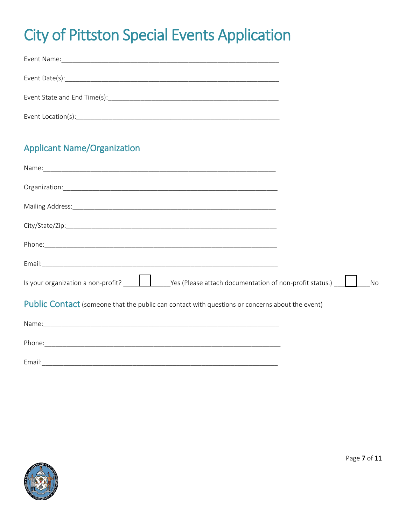# **City of Pittston Special Events Application**

| Event Name:<br><u> 1980 - Johann Barn, mars an deutscher Stadt und der Stadt und der Stadt und der Stadt und der Stadt und der S</u>                                                                                          |  |
|-------------------------------------------------------------------------------------------------------------------------------------------------------------------------------------------------------------------------------|--|
|                                                                                                                                                                                                                               |  |
| Event State and End Time(s): Notified that the state of the state of the state of the state of the state of the state of the state of the state of the state of the state of the state of the state of the state of the state |  |
| Event Location(s): Event Location(s):                                                                                                                                                                                         |  |

# **Applicant Name/Organization**

| Is your organization a non-profit? $\Box$ $\Box$ Yes (Please attach documentation of non-profit status.) | No |
|----------------------------------------------------------------------------------------------------------|----|
| <b>Public Contact</b> (someone that the public can contact with questions or concerns about the event)   |    |
|                                                                                                          |    |
|                                                                                                          |    |
|                                                                                                          |    |

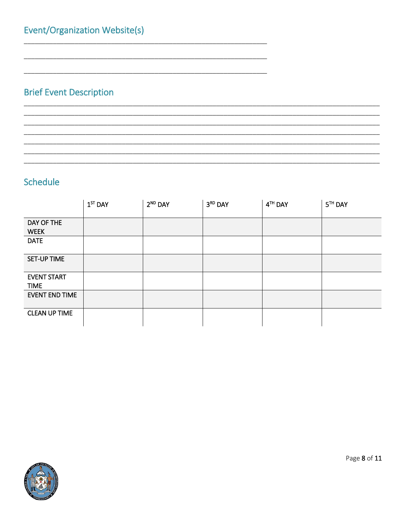# **Brief Event Description**

### Schedule

|                                   | $1ST$ DAY | $2^{ND}$ DAY | 3RD DAY | 4TH DAY | 5 <sup>TH</sup> DAY |
|-----------------------------------|-----------|--------------|---------|---------|---------------------|
| DAY OF THE<br><b>WEEK</b>         |           |              |         |         |                     |
| <b>DATE</b>                       |           |              |         |         |                     |
| <b>SET-UP TIME</b>                |           |              |         |         |                     |
| <b>EVENT START</b><br><b>TIME</b> |           |              |         |         |                     |
| <b>EVENT END TIME</b>             |           |              |         |         |                     |
| <b>CLEAN UP TIME</b>              |           |              |         |         |                     |



Page 8 of 11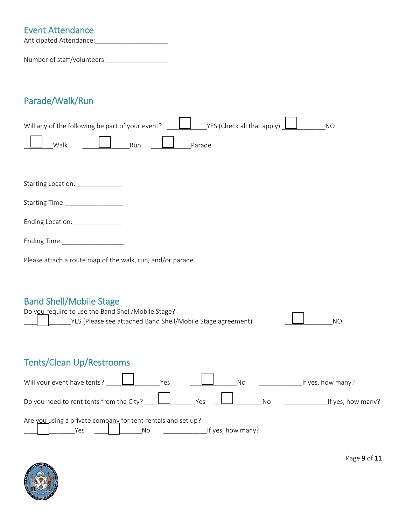# Event Attendance Anticipated Attendance:\_\_\_\_\_\_\_\_\_\_\_\_\_\_\_\_\_\_\_\_

Number of staff/volunteers:\_\_\_\_\_\_\_\_\_\_\_\_\_\_\_\_\_

# Parade/Walk/Run

| YES (Check all that apply)<br>Will any of the following be part of your event?<br><b>NO</b>                                    |  |
|--------------------------------------------------------------------------------------------------------------------------------|--|
| Run<br>Walk<br>Parade                                                                                                          |  |
|                                                                                                                                |  |
| Starting Location:_______________                                                                                              |  |
| Starting Time:_________________                                                                                                |  |
| Ending Location:________________                                                                                               |  |
| Ending Time: Ending Time:                                                                                                      |  |
| Please attach a route map of the walk, run, and/or parade.                                                                     |  |
|                                                                                                                                |  |
| <b>Band Shell/Mobile Stage</b>                                                                                                 |  |
| Do you require to use the Band Shell/Mobile Stage?<br>YES (Please see attached Band Shell/Mobile Stage agreement)<br><b>NO</b> |  |
|                                                                                                                                |  |
| <b>Tents/Clean Up/Restrooms</b>                                                                                                |  |
| Will your event have tents?<br>Yes<br>_If yes, how many?<br>No                                                                 |  |
| Do you need to rent tents from the City?<br>Yes<br>If yes, how many?<br>No                                                     |  |
| Are you using a private company for tent rentals and set up?<br>If yes, how many?<br>No<br>Yes                                 |  |



Page 9 of 11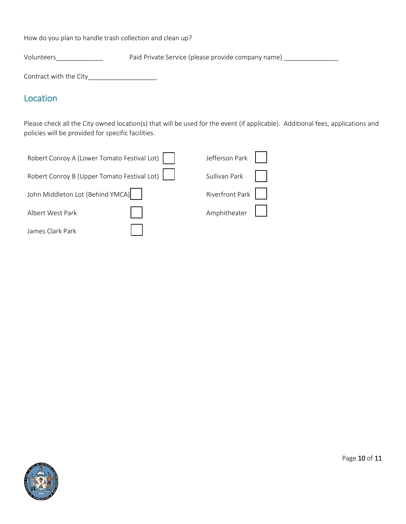How do you plan to handle trash collection and clean up?

Volunteers\_\_\_\_\_\_\_\_\_\_\_\_\_\_\_\_\_\_\_ Paid Private Service (please provide company name) \_\_\_\_\_\_\_\_\_\_\_\_\_\_\_\_\_\_

Contract with the City\_\_\_\_\_\_\_\_\_\_\_\_\_\_\_\_\_\_\_

### Location

Please check all the City owned location(s) that will be used for the event (if applicable). Additional fees, applications and policies will be provided for specific facilities.

| Robert Conroy A (Lower Tomato Festival Lot) | Jefferson Park  |  |
|---------------------------------------------|-----------------|--|
| Robert Conroy B (Upper Tomato Festival Lot) | Sullivan Park   |  |
| John Middleton Lot (Behind YMCA)            | Riverfront Park |  |
| Albert West Park                            | Amphitheater    |  |
| James Clark Park                            |                 |  |



Page 10 of 11